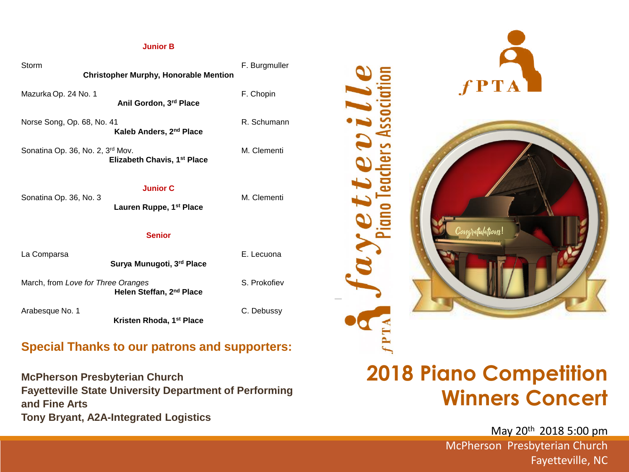#### **Junior B**

| Storm<br><b>Christopher Murphy, Honorable Mention</b>                            | F. Burgmuller |  |  |  |  |
|----------------------------------------------------------------------------------|---------------|--|--|--|--|
| Mazurka Op. 24 No. 1<br>Anil Gordon, 3rd Place                                   | F. Chopin     |  |  |  |  |
| Norse Song, Op. 68, No. 41<br>Kaleb Anders, 2 <sup>nd</sup> Place                | R. Schumann   |  |  |  |  |
| Sonatina Op. 36, No. 2, 3rd Mov.<br>Elizabeth Chavis, 1 <sup>st</sup> Place      | M. Clementi   |  |  |  |  |
| <b>Junior C</b><br>Sonatina Op. 36, No. 3<br>Lauren Ruppe, 1 <sup>st</sup> Place | M. Clementi   |  |  |  |  |
| <b>Senior</b>                                                                    |               |  |  |  |  |
| La Comparsa<br>Surya Munugoti, 3rd Place                                         | E. Lecuona    |  |  |  |  |
| March, from Love for Three Oranges<br>Helen Steffan, 2nd Place                   | S. Prokofiev  |  |  |  |  |
| Arabesque No. 1<br>Kristen Rhoda, 1 <sup>st</sup> Place                          | C. Debussy    |  |  |  |  |

## **Special Thanks to our patrons and supporters:**

**McPherson Presbyterian Church Fayetteville State University Department of Performing and Fine Arts Tony Bryant, A2A-Integrated Logistics**



# **2018 Piano Competition Winners Concert**

May 20th 2018 5:00 pm McPherson Presbyterian Church Fayetteville, NC